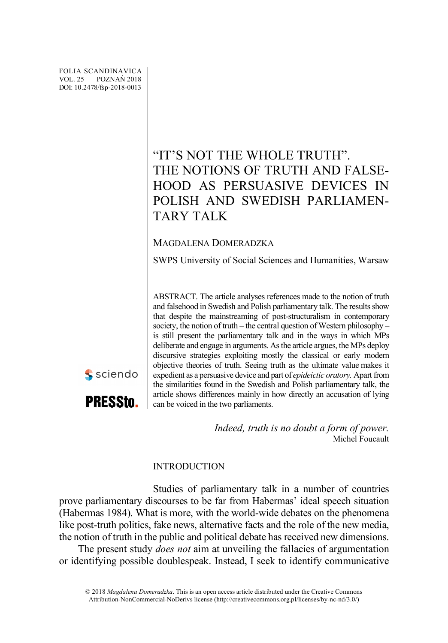FOLIA SCANDINAVICA VOL. 25 POZNAŃ 2018 DOI: 10.2478/fsp-2018-0013

sciendo

**PRESStn.** 

# "IT'S NOT THE WHOLE TRUTH". THE NOTIONS OF TRUTH AND FALSE-HOOD AS PERSUASIVE DEVICES IN POLISH AND SWEDISH PARLIAMEN-TARY TALK

# MAGDALENA DOMERADZKA

SWPS University of Social Sciences and Humanities, Warsaw

ABSTRACT. The article analyses references made to the notion of truth and falsehood in Swedish and Polish parliamentary talk. The results show that despite the mainstreaming of post-structuralism in contemporary society, the notion of truth – the central question of Western philosophy – is still present the parliamentary talk and in the ways in which MPs deliberate and engage in arguments. Asthe article argues, the MPs deploy discursive strategies exploiting mostly the classical or early modern objective theories of truth. Seeing truth as the ultimate value makes it expedient as a persuasive device and part of *epideictic oratory.* Apart from the similarities found in the Swedish and Polish parliamentary talk, the article shows differences mainly in how directly an accusation of lying can be voiced in the two parliaments.

> *Indeed, truth is no doubt a form of power.* Michel Foucault

# INTRODUCTION

Studies of parliamentary talk in a number of countries prove parliamentary discourses to be far from Habermas' ideal speech situation (Habermas 1984). What is more, with the world-wide debates on the phenomena like post-truth politics, fake news, alternative facts and the role of the new media, the notion of truth in the public and political debate has received new dimensions.

The present study *does not* aim at unveiling the fallacies of argumentation or identifying possible doublespeak. Instead, I seek to identify communicative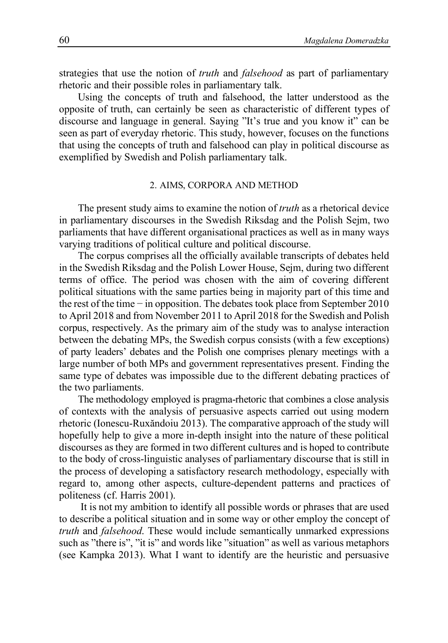strategies that use the notion of *truth* and *falsehood* as part of parliamentary rhetoric and their possible roles in parliamentary talk.

Using the concepts of truth and falsehood, the latter understood as the opposite of truth, can certainly be seen as characteristic of different types of discourse and language in general. Saying "It's true and you know it" can be seen as part of everyday rhetoric. This study, however, focuses on the functions that using the concepts of truth and falsehood can play in political discourse as exemplified by Swedish and Polish parliamentary talk.

#### 2. AIMS, CORPORA AND METHOD

The present study aims to examine the notion of *truth* as a rhetorical device in parliamentary discourses in the Swedish Riksdag and the Polish Sejm, two parliaments that have different organisational practices as well as in many ways varying traditions of political culture and political discourse.

The corpus comprises all the officially available transcripts of debates held in the Swedish Riksdag and the Polish Lower House, Sejm, during two different terms of office. The period was chosen with the aim of covering different political situations with the same parties being in majority part of this time and the rest of the time − in opposition. The debates took place from September 2010 to April 2018 and from November 2011 to April 2018 for the Swedish and Polish corpus, respectively. As the primary aim of the study was to analyse interaction between the debating MPs, the Swedish corpus consists (with a few exceptions) of party leaders' debates and the Polish one comprises plenary meetings with a large number of both MPs and government representatives present. Finding the same type of debates was impossible due to the different debating practices of the two parliaments.

The methodology employed is pragma-rhetoric that combines a close analysis of contexts with the analysis of persuasive aspects carried out using modern rhetoric (Ionescu-Ruxăndoiu 2013). The comparative approach of the study will hopefully help to give a more in-depth insight into the nature of these political discourses as they are formed in two different cultures and is hoped to contribute to the body of cross-linguistic analyses of parliamentary discourse that is still in the process of developing a satisfactory research methodology, especially with regard to, among other aspects, culture-dependent patterns and practices of politeness (cf. Harris 2001).

It is not my ambition to identify all possible words or phrases that are used to describe a political situation and in some way or other employ the concept of *truth* and *falsehood*. These would include semantically unmarked expressions such as "there is", "it is" and words like "situation" as well as various metaphors (see Kampka 2013). What I want to identify are the heuristic and persuasive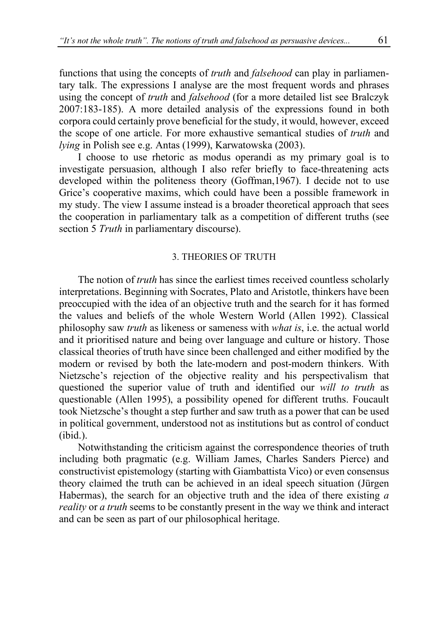functions that using the concepts of *truth* and *falsehood* can play in parliamentary talk. The expressions I analyse are the most frequent words and phrases using the concept of *truth* and *falsehood* (for a more detailed list see Bralczyk 2007:183-185). A more detailed analysis of the expressions found in both corpora could certainly prove beneficial for the study, it would, however, exceed the scope of one article. For more exhaustive semantical studies of *truth* and *lying* in Polish see e.g. Antas (1999), Karwatowska (2003).

I choose to use rhetoric as modus operandi as my primary goal is to investigate persuasion, although I also refer briefly to face-threatening acts developed within the politeness theory (Goffman,1967). I decide not to use Grice's cooperative maxims, which could have been a possible framework in my study. The view I assume instead is a broader theoretical approach that sees the cooperation in parliamentary talk as a competition of different truths (see section 5 *Truth* in parliamentary discourse).

#### 3. THEORIES OF TRUTH

The notion of *truth* has since the earliest times received countless scholarly interpretations. Beginning with Socrates, Plato and Aristotle, thinkers have been preoccupied with the idea of an objective truth and the search for it has formed the values and beliefs of the whole Western World (Allen 1992). Classical philosophy saw *truth* as likeness or sameness with *what is*, i.e. the actual world and it prioritised nature and being over language and culture or history. Those classical theories of truth have since been challenged and either modified by the modern or revised by both the late-modern and post-modern thinkers. With Nietzsche's rejection of the objective reality and his perspectivalism that questioned the superior value of truth and identified our *will to truth* as questionable (Allen 1995), a possibility opened for different truths. Foucault took Nietzsche's thought a step further and saw truth as a power that can be used in political government, understood not as institutions but as control of conduct (ibid.).

Notwithstanding the criticism against the correspondence theories of truth including both pragmatic (e.g. William James, Charles Sanders Pierce) and constructivist epistemology (starting with Giambattista Vico) or even consensus theory claimed the truth can be achieved in an ideal speech situation (Jürgen Habermas), the search for an objective truth and the idea of there existing *a reality* or *a truth* seems to be constantly present in the way we think and interact and can be seen as part of our philosophical heritage.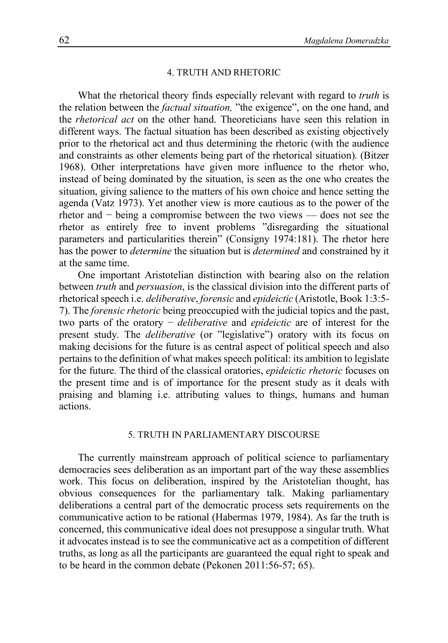#### 4. TRUTH AND RHETORIC

What the rhetorical theory finds especially relevant with regard to *truth* is the relation between the *factual situation,* "the exigence", on the one hand, and the *rhetorical act* on the other hand. Theoreticians have seen this relation in different ways. The factual situation has been described as existing objectively prior to the rhetorical act and thus determining the rhetoric (with the audience and constraints as other elements being part of the rhetorical situation). (Bitzer 1968). Other interpretations have given more influence to the rhetor who, instead of being dominated by the situation, is seen as the one who creates the situation, giving salience to the matters of his own choice and hence setting the agenda (Vatz 1973). Yet another view is more cautious as to the power of the rhetor and − being a compromise between the two views — does not see the rhetor as entirely free to invent problems "disregarding the situational parameters and particularities therein" (Consigny 1974:181). The rhetor here has the power to *determine* the situation but is *determined* and constrained by it at the same time.

One important Aristotelian distinction with bearing also on the relation between *truth* and *persuasion*, is the classical division into the different parts of rhetorical speech i.e. *deliberative*, *forensic* and *epideictic* (Aristotle, Book 1:3:5- 7). The *forensic rhetoric* being preoccupied with the judicial topics and the past, two parts of the oratory − *deliberative* and *epideictic* are of interest for the present study. The *deliberative* (or "legislative") oratory with its focus on making decisions for the future is as central aspect of political speech and also pertains to the definition of what makes speech political: its ambition to legislate for the future. The third of the classical oratories, *epideictic rhetoric* focuses on the present time and is of importance for the present study as it deals with praising and blaming i.e. attributing values to things, humans and human actions.

# 5. TRUTH IN PARLIAMENTARY DISCOURSE

The currently mainstream approach of political science to parliamentary democracies sees deliberation as an important part of the way these assemblies work. This focus on deliberation, inspired by the Aristotelian thought, has obvious consequences for the parliamentary talk. Making parliamentary deliberations a central part of the democratic process sets requirements on the communicative action to be rational (Habermas 1979, 1984). As far the truth is concerned, this communicative ideal does not presuppose a singular truth. What it advocates instead is to see the communicative act as a competition of different truths, as long as all the participants are guaranteed the equal right to speak and to be heard in the common debate (Pekonen 2011:56-57; 65).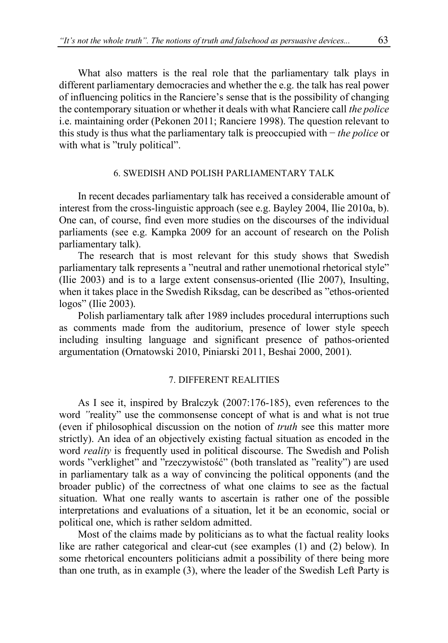What also matters is the real role that the parliamentary talk plays in different parliamentary democracies and whether the e.g. the talk has real power of influencing politics in the Ranciere's sense that is the possibility of changing the contemporary situation or whether it deals with what Ranciere call *the police* i.e. maintaining order (Pekonen 2011; Ranciere 1998). The question relevant to this study is thus what the parliamentary talk is preoccupied with − *the police* or with what is "truly political".

# 6. SWEDISH AND POLISH PARLIAMENTARY TALK

In recent decades parliamentary talk has received a considerable amount of interest from the cross-linguistic approach (see e.g. Bayley 2004, Ilie 2010a, b). One can, of course, find even more studies on the discourses of the individual parliaments (see e.g. Kampka 2009 for an account of research on the Polish parliamentary talk).

The research that is most relevant for this study shows that Swedish parliamentary talk represents a "neutral and rather unemotional rhetorical style" (Ilie 2003) and is to a large extent consensus-oriented (Ilie 2007), Insulting, when it takes place in the Swedish Riksdag, can be described as "ethos-oriented logos" (Ilie 2003).

Polish parliamentary talk after 1989 includes procedural interruptions such as comments made from the auditorium, presence of lower style speech including insulting language and significant presence of pathos-oriented argumentation (Ornatowski 2010, Piniarski 2011, Beshai 2000, 2001).

# 7. DIFFERENT REALITIES

As I see it, inspired by Bralczyk (2007:176-185), even references to the word *"*reality" use the commonsense concept of what is and what is not true (even if philosophical discussion on the notion of *truth* see this matter more strictly). An idea of an objectively existing factual situation as encoded in the word *reality* is frequently used in political discourse. The Swedish and Polish words "verklighet" and "rzeczywistość" (both translated as "reality") are used in parliamentary talk as a way of convincing the political opponents (and the broader public) of the correctness of what one claims to see as the factual situation. What one really wants to ascertain is rather one of the possible interpretations and evaluations of a situation, let it be an economic, social or political one, which is rather seldom admitted.

Most of the claims made by politicians as to what the factual reality looks like are rather categorical and clear-cut (see examples (1) and (2) below). In some rhetorical encounters politicians admit a possibility of there being more than one truth, as in example (3), where the leader of the Swedish Left Party is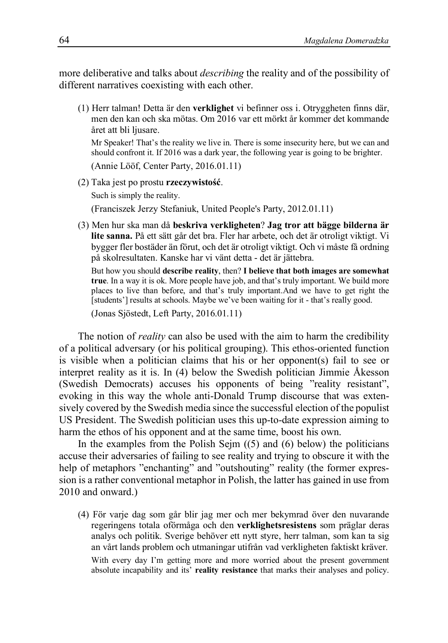more deliberative and talks about *describing* the reality and of the possibility of different narratives coexisting with each other.

(1) Herr talman! Detta är den **verklighet** vi befinner oss i. Otryggheten finns där, men den kan och ska mötas. Om 2016 var ett mörkt år kommer det kommande året att bli liusare.

Mr Speaker! That's the reality we live in. There is some insecurity here, but we can and should confront it. If 2016 was a dark year, the following year is going to be brighter.

(Annie Lööf, Center Party, 2016.01.11)

(2) Taka jest po prostu **rzeczywistość**.

Such is simply the reality.

(Franciszek Jerzy Stefaniuk, United People's Party, 2012.01.11)

(3) Men hur ska man då **beskriva verkligheten**? **Jag tror att bägge bilderna är lite sanna.** På ett sätt går det bra. Fler har arbete, och det är otroligt viktigt. Vi bygger fler bostäder än förut, och det är otroligt viktigt. Och vi måste få ordning på skolresultaten. Kanske har vi vänt detta - det är jättebra.

But how you should **describe reality**, then? **I believe that both images are somewhat true**. In a way it is ok. More people have job, and that's truly important. We build more places to live than before, and that's truly important.And we have to get right the [students'] results at schools. Maybe we've been waiting for it - that's really good.

(Jonas Sjöstedt, Left Party, 2016.01.11)

The notion of *reality* can also be used with the aim to harm the credibility of a political adversary (or his political grouping). This ethos-oriented function is visible when a politician claims that his or her opponent(s) fail to see or interpret reality as it is. In (4) below the Swedish politician Jimmie Åkesson (Swedish Democrats) accuses his opponents of being "reality resistant", evoking in this way the whole anti-Donald Trump discourse that was extensively covered by the Swedish media since the successful election of the populist US President. The Swedish politician uses this up-to-date expression aiming to harm the ethos of his opponent and at the same time, boost his own.

In the examples from the Polish Sejm  $(5)$  and  $(6)$  below) the politicians accuse their adversaries of failing to see reality and trying to obscure it with the help of metaphors "enchanting" and "outshouting" reality (the former expression is a rather conventional metaphor in Polish, the latter has gained in use from 2010 and onward.)

(4) För varje dag som går blir jag mer och mer bekymrad över den nuvarande regeringens totala oförmåga och den **verklighetsresistens** som präglar deras analys och politik. Sverige behöver ett nytt styre, herr talman, som kan ta sig an vårt lands problem och utmaningar utifrån vad verkligheten faktiskt kräver. With every day I'm getting more and more worried about the present government absolute incapability and its' **reality resistance** that marks their analyses and policy.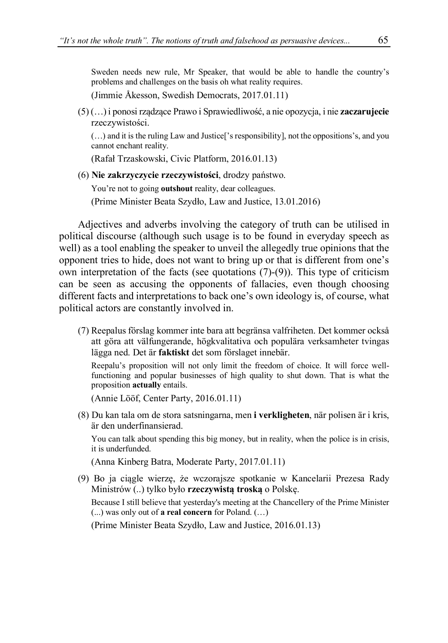Sweden needs new rule, Mr Speaker, that would be able to handle the country's problems and challenges on the basis oh what reality requires.

(Jimmie Åkesson, Swedish Democrats, 2017.01.11)

(5) (…) i ponosi rządzące Prawo i Sprawiedliwość, a nie opozycja, i nie **zaczarujecie** rzeczywistości.

(…) and it is the ruling Law and Justice['s responsibility], not the oppositions's, and you cannot enchant reality.

(Rafał Trzaskowski, Civic Platform, 2016.01.13)

(6) **Nie zakrzyczycie rzeczywistości**, drodzy państwo.

You're not to going **outshout** reality, dear colleagues.

(Prime Minister Beata Szydło, Law and Justice, 13.01.2016)

Adjectives and adverbs involving the category of truth can be utilised in political discourse (although such usage is to be found in everyday speech as well) as a tool enabling the speaker to unveil the allegedly true opinions that the opponent tries to hide, does not want to bring up or that is different from one's own interpretation of the facts (see quotations  $(7)-(9)$ ). This type of criticism can be seen as accusing the opponents of fallacies, even though choosing different facts and interpretations to back one's own ideology is, of course, what political actors are constantly involved in.

(7) Reepalus förslag kommer inte bara att begränsa valfriheten. Det kommer också att göra att välfungerande, högkvalitativa och populära verksamheter tvingas lägga ned. Det är **faktiskt** det som förslaget innebär.

Reepalu's proposition will not only limit the freedom of choice. It will force wellfunctioning and popular businesses of high quality to shut down. That is what the proposition **actually** entails.

(Annie Lööf, Center Party, 2016.01.11)

(8) Du kan tala om de stora satsningarna, men **i verkligheten**, när polisen är i kris, är den underfinansierad.

You can talk about spending this big money, but in reality, when the police is in crisis, it is underfunded.

(Anna Kinberg Batra, Moderate Party, 2017.01.11)

(9) Bo ja ciągle wierzę, że wczorajsze spotkanie w Kancelarii Prezesa Rady Ministrów (..) tylko było **rzeczywistą troską** o Polskę.

Because I still believe that yesterday's meeting at the Chancellery of the Prime Minister (...) was only out of **a real concern** for Poland. (…)

(Prime Minister Beata Szydło, Law and Justice, 2016.01.13)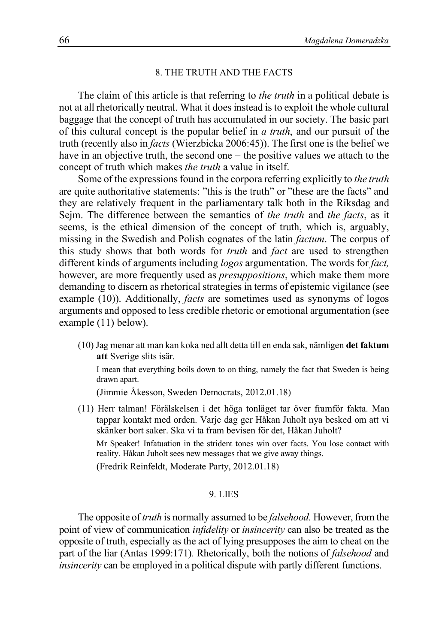#### 8. THE TRUTH AND THE FACTS

The claim of this article is that referring to *the truth* in a political debate is not at all rhetorically neutral. What it does instead is to exploit the whole cultural baggage that the concept of truth has accumulated in our society. The basic part of this cultural concept is the popular belief in *a truth*, and our pursuit of the truth (recently also in *facts* (Wierzbicka 2006:45)). The first one is the belief we have in an objective truth, the second one − the positive values we attach to the concept of truth which makes *the truth* a value in itself.

Some of the expressions found in the corpora referring explicitly to *the truth* are quite authoritative statements: "this is the truth" or "these are the facts" and they are relatively frequent in the parliamentary talk both in the Riksdag and Sejm. The difference between the semantics of *the truth* and *the facts*, as it seems, is the ethical dimension of the concept of truth, which is, arguably, missing in the Swedish and Polish cognates of the latin *factum*. The corpus of this study shows that both words for *truth* and *fact* are used to strengthen different kinds of arguments including *logos* argumentation. The words for *fact,* however, are more frequently used as *presuppositions*, which make them more demanding to discern as rhetorical strategies in terms of epistemic vigilance (see example (10)). Additionally, *facts* are sometimes used as synonyms of logos arguments and opposed to less credible rhetoric or emotional argumentation (see example (11) below).

(10) Jag menar att man kan koka ned allt detta till en enda sak, nämligen **det faktum att** Sverige slits isär.

I mean that everything boils down to on thing, namely the fact that Sweden is being drawn apart.

(Jimmie Åkesson, Sweden Democrats, 2012.01.18)

(11) Herr talman! Förälskelsen i det höga tonläget tar över framför fakta. Man tappar kontakt med orden. Varje dag ger Håkan Juholt nya besked om att vi skänker bort saker. Ska vi ta fram bevisen för det, Håkan Juholt?

Mr Speaker! Infatuation in the strident tones win over facts. You lose contact with reality. Håkan Juholt sees new messages that we give away things.

(Fredrik Reinfeldt, Moderate Party, 2012.01.18)

# 9. LIES

The opposite of *truth* is normally assumed to be *falsehood.* However, from the point of view of communication *infidelity* or *insincerity* can also be treated as the opposite of truth, especially as the act of lying presupposes the aim to cheat on the part of the liar (Antas 1999:171)*.* Rhetorically, both the notions of *falsehood* and *insincerity* can be employed in a political dispute with partly different functions.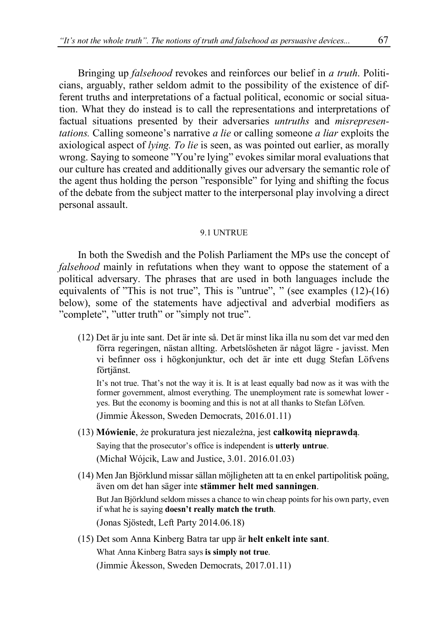Bringing up *falsehood* revokes and reinforces our belief in *a truth*. Politicians, arguably, rather seldom admit to the possibility of the existence of different truths and interpretations of a factual political, economic or social situation. What they do instead is to call the representations and interpretations of factual situations presented by their adversaries *untruths* and *misrepresentations.* Calling someone's narrative *a lie* or calling someone *a liar* exploits the axiological aspect of *lying. To lie* is seen, as was pointed out earlier, as morally wrong. Saying to someone "You're lying" evokes similar moral evaluations that our culture has created and additionally gives our adversary the semantic role of the agent thus holding the person "responsible" for lying and shifting the focus of the debate from the subject matter to the interpersonal play involving a direct personal assault.

#### 9.1 UNTRUE

In both the Swedish and the Polish Parliament the MPs use the concept of *falsehood* mainly in refutations when they want to oppose the statement of a political adversary. The phrases that are used in both languages include the equivalents of "This is not true", This is "untrue", " (see examples (12)-(16) below), some of the statements have adjectival and adverbial modifiers as "complete", "utter truth" or "simply not true".

(12) Det är ju inte sant. Det är inte så. Det är minst lika illa nu som det var med den förra regeringen, nästan allting. Arbetslösheten är något lägre - javisst. Men vi befinner oss i högkonjunktur, och det är inte ett dugg Stefan Löfvens förtjänst.

It's not true. That's not the way it is. It is at least equally bad now as it was with the former government, almost everything. The unemployment rate is somewhat lower yes. But the economy is booming and this is not at all thanks to Stefan Löfven.

(Jimmie Åkesson, Sweden Democrats, 2016.01.11)

- (13) **Mówienie**, że prokuratura jest niezależna, jest **całkowitą nieprawdą**. Saying that the prosecutor's office is independent is **utterly untrue**. (Michał Wójcik, Law and Justice, 3.01. 2016.01.03)
- (14) Men Jan Björklund missar sällan möjligheten att ta en enkel partipolitisk poäng, även om det han säger inte **stämmer helt med sanningen**. But Jan Björklund seldom misses a chance to win cheap points for his own party, even if what he is saying **doesn't really match the truth**. (Jonas Sjöstedt, Left Party 2014.06.18)
- (15) Det som Anna Kinberg Batra tar upp är **helt enkelt inte sant**. What Anna Kinberg Batra says **is simply not true**. (Jimmie Åkesson, Sweden Democrats, 2017.01.11)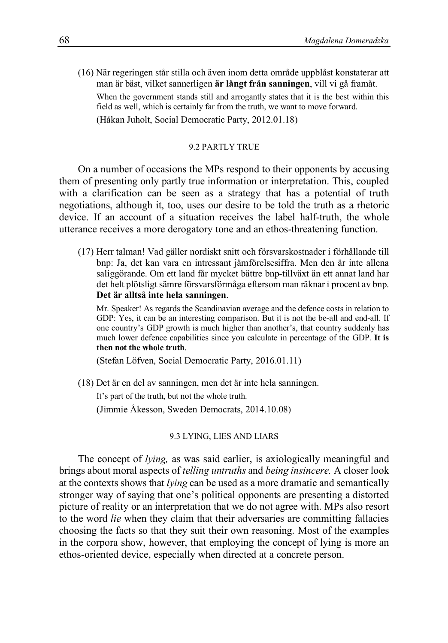(16) När regeringen står stilla och även inom detta område uppblåst konstaterar att man är bäst, vilket sannerligen **är långt från sanningen**, vill vi gå framåt.

When the government stands still and arrogantly states that it is the best within this field as well, which is certainly far from the truth, we want to move forward.

(Håkan Juholt, Social Democratic Party, 2012.01.18)

# 9.2 PARTLY TRUE

On a number of occasions the MPs respond to their opponents by accusing them of presenting only partly true information or interpretation. This, coupled with a clarification can be seen as a strategy that has a potential of truth negotiations, although it, too, uses our desire to be told the truth as a rhetoric device. If an account of a situation receives the label half-truth, the whole utterance receives a more derogatory tone and an ethos-threatening function.

(17) Herr talman! Vad gäller nordiskt snitt och försvarskostnader i förhållande till bnp: Ja, det kan vara en intressant jämförelsesiffra. Men den är inte allena saliggörande. Om ett land får mycket bättre bnp-tillväxt än ett annat land har det helt plötsligt sämre försvarsförmåga eftersom man räknar i procent av bnp. **Det är alltså inte hela sanningen**.

Mr. Speaker! As regards the Scandinavian average and the defence costs in relation to GDP: Yes, it can be an interesting comparison. But it is not the be-all and end-all. If one country's GDP growth is much higher than another's, that country suddenly has much lower defence capabilities since you calculate in percentage of the GDP. **It is then not the whole truth**.

(Stefan Löfven, Social Democratic Party, 2016.01.11)

(18) Det är en del av sanningen, men det är inte hela sanningen.

It's part of the truth, but not the whole truth.

(Jimmie Åkesson, Sweden Democrats, 2014.10.08)

#### 9.3 LYING, LIES AND LIARS

The concept of *lying,* as was said earlier, is axiologically meaningful and brings about moral aspects of *telling untruths* and *being insincere.* A closer look at the contexts shows that *lying* can be used as a more dramatic and semantically stronger way of saying that one's political opponents are presenting a distorted picture of reality or an interpretation that we do not agree with. MPs also resort to the word *lie* when they claim that their adversaries are committing fallacies choosing the facts so that they suit their own reasoning. Most of the examples in the corpora show, however, that employing the concept of lying is more an ethos-oriented device, especially when directed at a concrete person.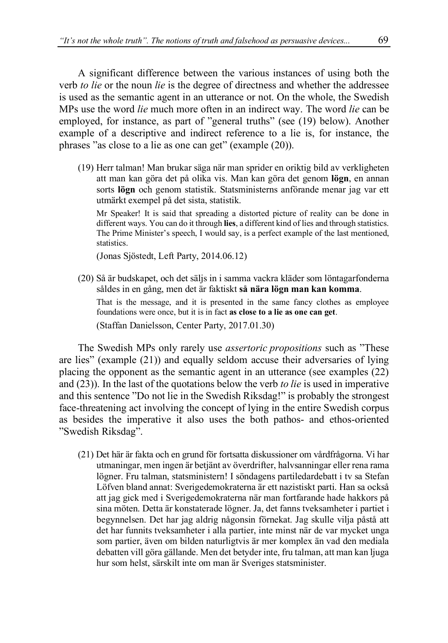A significant difference between the various instances of using both the verb *to lie* or the noun *lie* is the degree of directness and whether the addressee is used as the semantic agent in an utterance or not. On the whole, the Swedish MPs use the word *lie* much more often in an indirect way. The word *lie* can be employed, for instance, as part of "general truths" (see (19) below). Another example of a descriptive and indirect reference to a lie is, for instance, the phrases "as close to a lie as one can get" (example (20)).

(19) Herr talman! Man brukar säga när man sprider en oriktig bild av verkligheten att man kan göra det på olika vis. Man kan göra det genom **lögn**, en annan sorts **lögn** och genom statistik. Statsministerns anförande menar jag var ett utmärkt exempel på det sista, statistik.

Mr Speaker! It is said that spreading a distorted picture of reality can be done in different ways. You can do it through **lies**, a different kind of lies and through statistics. The Prime Minister's speech, I would say, is a perfect example of the last mentioned, statistics.

(Jonas Sjöstedt, Left Party, 2014.06.12)

(20) Så är budskapet, och det säljs in i samma vackra kläder som löntagarfonderna såldes in en gång, men det är faktiskt **så nära lögn man kan komma**. That is the message, and it is presented in the same fancy clothes as employee foundations were once, but it is in fact **as close to a lie as one can get**. (Staffan Danielsson, Center Party, 2017.01.30)

The Swedish MPs only rarely use *assertoric propositions* such as "These are lies" (example (21)) and equally seldom accuse their adversaries of lying placing the opponent as the semantic agent in an utterance (see examples (22) and (23)). In the last of the quotations below the verb *to lie* is used in imperative and this sentence "Do not lie in the Swedish Riksdag!" is probably the strongest face-threatening act involving the concept of lying in the entire Swedish corpus as besides the imperative it also uses the both pathos- and ethos-oriented "Swedish Riksdag".

(21) Det här är fakta och en grund för fortsatta diskussioner om vårdfrågorna. Vi har utmaningar, men ingen är betjänt av överdrifter, halvsanningar eller rena rama lögner. Fru talman, statsministern! I söndagens partiledardebatt i tv sa Stefan Löfven bland annat: Sverigedemokraterna är ett nazistiskt parti. Han sa också att jag gick med i Sverigedemokraterna när man fortfarande hade hakkors på sina möten. Detta är konstaterade lögner. Ja, det fanns tveksamheter i partiet i begynnelsen. Det har jag aldrig någonsin förnekat. Jag skulle vilja påstå att det har funnits tveksamheter i alla partier, inte minst när de var mycket unga som partier, även om bilden naturligtvis är mer komplex än vad den mediala debatten vill göra gällande. Men det betyder inte, fru talman, att man kan ljuga hur som helst, särskilt inte om man är Sveriges statsminister.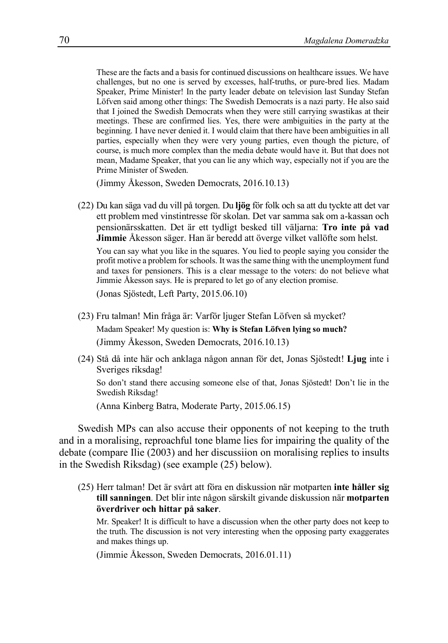These are the facts and a basisfor continued discussions on healthcare issues. We have challenges, but no one is served by excesses, half-truths, or pure-bred lies. Madam Speaker, Prime Minister! In the party leader debate on television last Sunday Stefan Löfven said among other things: The Swedish Democrats is a nazi party. He also said that I joined the Swedish Democrats when they were still carrying swastikas at their meetings. These are confirmed lies. Yes, there were ambiguities in the party at the beginning. I have never denied it. I would claim that there have been ambiguities in all parties, especially when they were very young parties, even though the picture, of course, is much more complex than the media debate would have it. But that does not mean, Madame Speaker, that you can lie any which way, especially not if you are the Prime Minister of Sweden.

(Jimmy Åkesson, Sweden Democrats, 2016.10.13)

(22) Du kan säga vad du vill på torgen. Du **ljög** för folk och sa att du tyckte att det var ett problem med vinstintresse för skolan. Det var samma sak om a-kassan och pensionärsskatten. Det är ett tydligt besked till väljarna: **Tro inte på vad Jimmie** Åkesson säger. Han är beredd att överge vilket vallöfte som helst.

You can say what you like in the squares. You lied to people saying you consider the profit motive a problem forschools. It wasthe same thing with the unemployment fund and taxes for pensioners. This is a clear message to the voters: do not believe what Jimmie Åkesson says. He is prepared to let go of any election promise.

(Jonas Sjöstedt, Left Party, 2015.06.10)

- (23) Fru talman! Min fråga är: Varför ljuger Stefan Löfven så mycket? Madam Speaker! My question is: **Why is Stefan Löfven lying so much?** (Jimmy Åkesson, Sweden Democrats, 2016.10.13)
- (24) Stå då inte här och anklaga någon annan för det, Jonas Sjöstedt! **Ljug** inte i Sveriges riksdag!

So don't stand there accusing someone else of that, Jonas Sjöstedt! Don't lie in the Swedish Riksdag!

(Anna Kinberg Batra, Moderate Party, 2015.06.15)

Swedish MPs can also accuse their opponents of not keeping to the truth and in a moralising, reproachful tone blame lies for impairing the quality of the debate (compare Ilie (2003) and her discussiion on moralising replies to insults in the Swedish Riksdag) (see example (25) below).

(25) Herr talman! Det är svårt att föra en diskussion när motparten **inte håller sig till sanningen**. Det blir inte någon särskilt givande diskussion när **motparten överdriver och hittar på saker**.

Mr. Speaker! It is difficult to have a discussion when the other party does not keep to the truth. The discussion is not very interesting when the opposing party exaggerates and makes things up.

(Jimmie Åkesson, Sweden Democrats, 2016.01.11)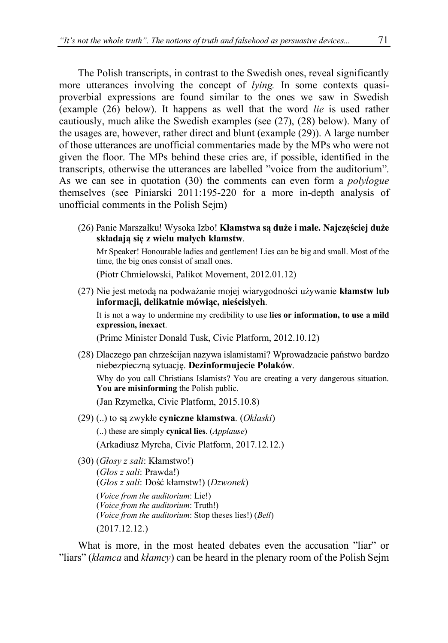The Polish transcripts, in contrast to the Swedish ones, reveal significantly more utterances involving the concept of *lying.* In some contexts quasiproverbial expressions are found similar to the ones we saw in Swedish (example (26) below). It happens as well that the word *lie* is used rather cautiously, much alike the Swedish examples (see (27), (28) below). Many of the usages are, however, rather direct and blunt (example (29)). A large number of those utterances are unofficial commentaries made by the MPs who were not given the floor. The MPs behind these cries are, if possible, identified in the transcripts, otherwise the utterances are labelled "voice from the auditorium". As we can see in quotation (30) the comments can even form a *polylogue* themselves (see Piniarski 2011:195-220 for a more in-depth analysis of unofficial comments in the Polish Sejm)

(26) Panie Marszałku! Wysoka Izbo! **Kłamstwa są duże i małe. Najczęściej duże składają się z wielu małych kłamstw**.

Mr Speaker! Honourable ladies and gentlemen! Lies can be big and small. Most of the time, the big ones consist of small ones.

(Piotr Chmielowski, Palikot Movement, 2012.01.12)

(27) Nie jest metodą na podważanie mojej wiarygodności używanie **kłamstw lub informacji, delikatnie mówiąc, nieścisłych**. It is not a way to undermine my credibility to use **lies or information, to use a mild expression, inexact**.

(Prime Minister Donald Tusk, Civic Platform, 2012.10.12)

- (28) Dlaczego pan chrześcijan nazywa islamistami? Wprowadzacie państwo bardzo niebezpieczną sytuację. **Dezinformujecie Polaków**. Why do you call Christians Islamists? You are creating a very dangerous situation. **You are misinforming** the Polish public. (Jan Rzymełka, Civic Platform, 2015.10.8)
- (29) (..) to są zwykłe **cyniczne kłamstwa**. (*Oklaski*) (..) these are simply **cynical lies**. (*Applause*) (Arkadiusz Myrcha, Civic Platform, 2017.12.12.)

(30) (*Głosy z sali*: Kłamstwo!) (*Głos z sali*: Prawda!) (*Głos z sali*: Dość kłamstw!) (*Dzwonek*) (*Voice from the auditorium*: Lie!) (*Voice from the auditorium*: Truth!) (*Voice from the auditorium*: Stop theses lies!) (*Bell*) (2017.12.12.)

What is more, in the most heated debates even the accusation "liar" or "liars" (*kłamca* and *kłamcy*) can be heard in the plenary room of the Polish Sejm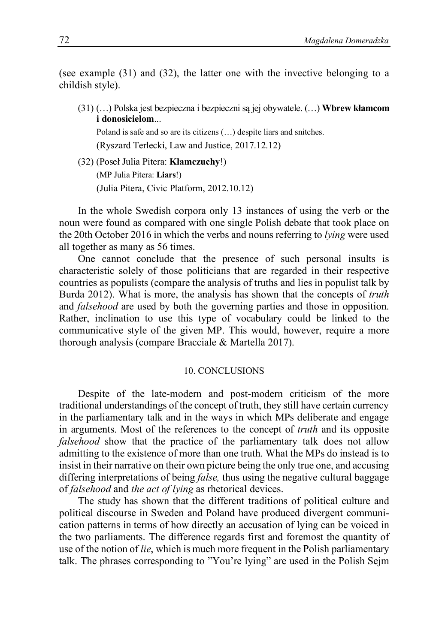(see example (31) and (32), the latter one with the invective belonging to a childish style).

(31) (…) Polska jest bezpieczna i bezpieczni są jej obywatele. (…) **Wbrew kłamcom i donosicielom**...

Poland is safe and so are its citizens (…) despite liars and snitches. (Ryszard Terlecki, Law and Justice, 2017.12.12)

(32) (Poseł Julia Pitera: **Kłamczuchy**!) (MP Julia Pitera: **Liars**!) (Julia Pitera, Civic Platform, 2012.10.12)

In the whole Swedish corpora only 13 instances of using the verb or the noun were found as compared with one single Polish debate that took place on the 20th October 2016 in which the verbs and nouns referring to *lying* were used all together as many as 56 times.

One cannot conclude that the presence of such personal insults is characteristic solely of those politicians that are regarded in their respective countries as populists (compare the analysis of truths and lies in populist talk by Burda 2012). What is more, the analysis has shown that the concepts of *truth* and *falsehood* are used by both the governing parties and those in opposition. Rather, inclination to use this type of vocabulary could be linked to the communicative style of the given MP. This would, however, require a more thorough analysis (compare Bracciale & Martella 2017).

#### 10. CONCLUSIONS

Despite of the late-modern and post-modern criticism of the more traditional understandings of the concept of truth, they still have certain currency in the parliamentary talk and in the ways in which MPs deliberate and engage in arguments. Most of the references to the concept of *truth* and its opposite *falsehood* show that the practice of the parliamentary talk does not allow admitting to the existence of more than one truth. What the MPs do instead is to insist in their narrative on their own picture being the only true one, and accusing differing interpretations of being *false,* thus using the negative cultural baggage of *falsehood* and *the act of lying* as rhetorical devices.

The study has shown that the different traditions of political culture and political discourse in Sweden and Poland have produced divergent communication patterns in terms of how directly an accusation of lying can be voiced in the two parliaments. The difference regards first and foremost the quantity of use of the notion of *lie*, which is much more frequent in the Polish parliamentary talk. The phrases corresponding to "You're lying" are used in the Polish Sejm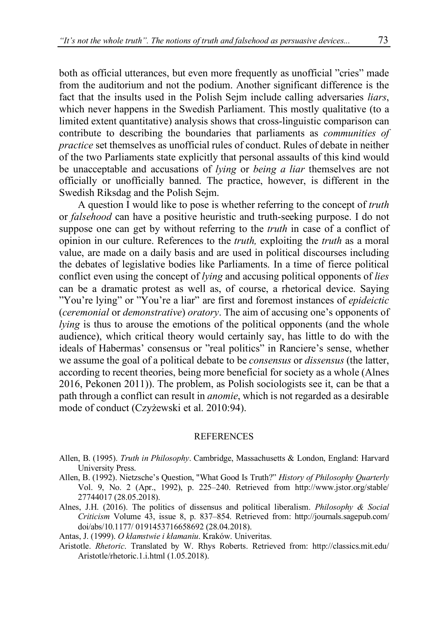both as official utterances, but even more frequently as unofficial "cries" made from the auditorium and not the podium. Another significant difference is the fact that the insults used in the Polish Sejm include calling adversaries *liars*, which never happens in the Swedish Parliament. This mostly qualitative (to a limited extent quantitative) analysis shows that cross-linguistic comparison can contribute to describing the boundaries that parliaments as *communities of practice* set themselves as unofficial rules of conduct. Rules of debate in neither of the two Parliaments state explicitly that personal assaults of this kind would be unacceptable and accusations of *lying* or *being a liar* themselves are not officially or unofficially banned. The practice, however, is different in the Swedish Riksdag and the Polish Sejm.

A question I would like to pose is whether referring to the concept of *truth* or *falsehood* can have a positive heuristic and truth-seeking purpose. I do not suppose one can get by without referring to the *truth* in case of a conflict of opinion in our culture. References to the *truth,* exploiting the *truth* as a moral value, are made on a daily basis and are used in political discourses including the debates of legislative bodies like Parliaments. In a time of fierce political conflict even using the concept of *lying* and accusing political opponents of *lies* can be a dramatic protest as well as, of course, a rhetorical device. Saying "You're lying" or "You're a liar" are first and foremost instances of *epideictic* (*ceremonial* or *demonstrative*) *oratory*. The aim of accusing one's opponents of *lying* is thus to arouse the emotions of the political opponents (and the whole audience), which critical theory would certainly say, has little to do with the ideals of Habermas' consensus or "real politics" in Ranciere's sense, whether we assume the goal of a political debate to be *consensus* or *dissensus* (the latter, according to recent theories, being more beneficial for society as a whole (Alnes 2016, Pekonen 2011)). The problem, as Polish sociologists see it, can be that a path through a conflict can result in *anomie*, which is not regarded as a desirable mode of conduct (Czyżewski et al. 2010:94).

#### REFERENCES

- Allen, B. (1995). *Truth in Philosophy*. Cambridge, Massachusetts & London, England: Harvard University Press.
- Allen, B. (1992). Nietzsche's Question, "What Good Is Truth?" *History of Philosophy Quarterly* Vol. 9, No. 2 (Apr., 1992), p. 225–240. Retrieved from http://www.jstor.org/stable/ 27744017 (28.05.2018).
- Alnes, J.H. (2016). The politics of dissensus and political liberalism. *Philosophy & Social Criticism* Volume 43, issue 8, p. 837–854. Retrieved from: http://journals.sagepub.com/ doi/abs/10.1177/ 0191453716658692 (28.04.2018).
- Antas, J. (1999). *O kłamstwie i kłamaniu*. Kraków. Univeritas.
- Aristotle. *Rhetoric*. Translated by W. Rhys Roberts. Retrieved from: http://classics.mit.edu/ Aristotle/rhetoric.1.i.html (1.05.2018).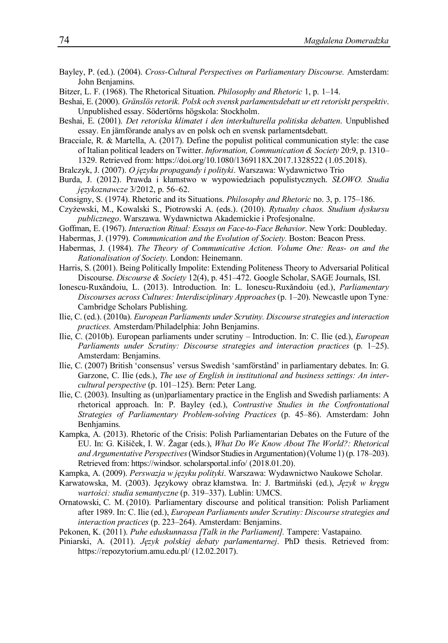- Bayley, P. (ed.). (2004). *Cross-Cultural Perspectives on Parliamentary Discourse.* Amsterdam: John Benjamins.
- Bitzer, L. F. (1968). The Rhetorical Situation. *Philosophy and Rhetoric* 1, p. 1–14.
- Beshai, E. (2000). *Gränslösretorik. Polsk och svensk parlamentsdebatt ur ett retoriskt perspektiv*. Unpublished essay. Södertörns högskola: Stockholm.
- Beshai, E. (2001). *Det retoriska klimatet i den interkulturella politiska debatten*. Unpublished essay. En jämförande analys av en polsk och en svensk parlamentsdebatt.
- Bracciale, R. & Martella, A. (2017). Define the populist political communication style: the case of Italian political leaders on Twitter. *Information, Communication & Society* 20:9, p. 1310– 1329. Retrieved from: https://doi.org/10.1080/1369118X.2017.1328522 (1.05.2018).
- Bralczyk, J. (2007). *O języku propagandy i polityki*. Warszawa: Wydawnictwo Trio
- Burda, J. (2012). Prawda i kłamstwo w wypowiedziach populistycznych. *SŁOWO. Studia językoznawcze* 3/2012, p. 56–62.
- Consigny, S. (1974). Rhetoric and its Situations. *Philosophy and Rhetoric* no. 3, p. 175–186.
- Czyżewski, M., Kowalski S., Piotrowski A. (eds.). (2010). *Rytualny chaos. Studium dyskursu publicznego*. Warszawa. Wydawnictwa Akademickie i Profesjonalne.
- Goffman, E. (1967). *Interaction Ritual: Essays on Face-to-Face Behavior*. New York: Doubleday.
- Habermas, J. (1979). *Communication and the Evolution of Society.* Boston: Beacon Press.
- Habermas, J. (1984). *The Theory of Communicative Action. Volume One: Reas- on and the Rationalisation of Society.* London: Heinemann.
- Harris, S. (2001). Being Politically Impolite: Extending Politeness Theory to Adversarial Political Discourse. *Discourse & Society* 12(4), p. 451–472. Google Scholar, SAGE Journals, ISI.
- Ionescu-Ruxăndoiu, L. (2013). Introduction. In: L. Ionescu-Ruxăndoiu (ed.), *Parliamentary Discourses across Cultures: Interdisciplinary Approaches*(p. 1–20). Newcastle upon Tyne*:* Cambridge Scholars Publishing.
- Ilie, C. (ed.). (2010a). *European Parliaments under Scrutiny. Discourse strategies and interaction practices.* Amsterdam/Philadelphia: John Benjamins.
- Ilie, C. (2010b). European parliaments under scrutiny Introduction. In: C. Ilie (ed.), *European Parliaments under Scrutiny: Discourse strategies and interaction practices* (p. 1–25). Amsterdam: Benjamins.
- Ilie, C. (2007) British 'consensus' versus Swedish 'samförstånd' in parliamentary debates. In: G. Garzone, C. Ilie (eds.), *The use of English in institutional and business settings: An intercultural perspective* (p. 101–125). Bern: Peter Lang.
- Ilie, C. (2003). Insulting as (un)parliamentary practice in the English and Swedish parliaments: A rhetorical approach. In: P. Bayley (ed.), *Contrastive Studies in the Confrontational Strategies of Parliamentary Problem-solving Practices* (p. 45–86). Amsterdam: John Benhjamins.
- Kampka, A. (2013). Rhetoric of the Crisis: Polish Parliamentarian Debates on the Future of the EU. In: G. Kišiček, I. W. Žagar (eds.), *What Do We Know About The World?: Rhetorical and Argumentative Perspectives*(Windsor Studiesin Argumentation)(Volume 1) (p. 178–203). Retrieved from: https://windsor. scholarsportal.info/ (2018.01.20).
- Kampka, A. (2009). *Perswazja w języku polityki*. Warszawa: Wydawnictwo Naukowe Scholar.
- Karwatowska, M. (2003). Językowy obraz kłamstwa. In: J. Bartmiński (ed.), *Język w kręgu wartości: studia semantyczne* (p. 319–337). Lublin: UMCS.
- Ornatowski, C. M. (2010). Parliamentary discourse and political transition: Polish Parliament after 1989. In: C. Ilie (ed.), *European Parliaments under Scrutiny: Discourse strategies and interaction practices* (p. 223–264). Amsterdam: Benjamins.
- Pekonen, K. (2011). *Puhe eduskunnassa [Talk in the Parliament].* Tampere: Vastapaino.
- Piniarski, A. (2011). *Język polskiej debaty parlamentarnej*. PhD thesis. Retrieved from: https://repozytorium.amu.edu.pl/ (12.02.2017).